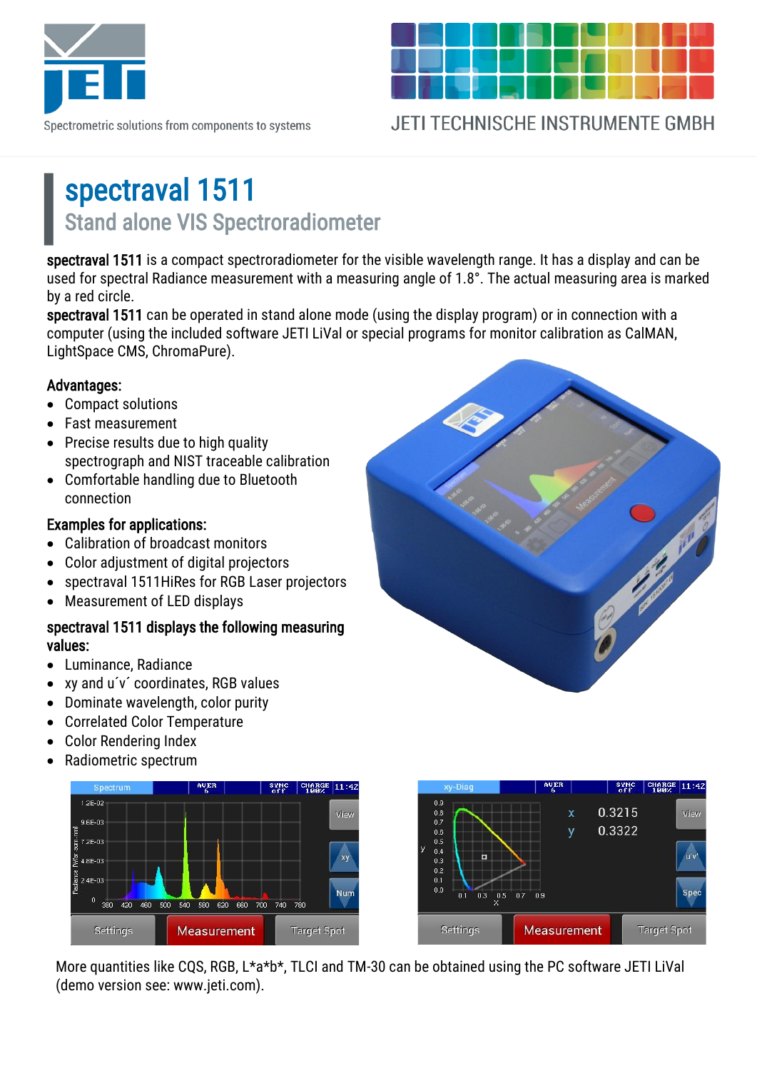

Spectrometric solutions from components to systems

**JETI TECHNISCHE INSTRUMENTE GMBH** 

## spectraval 1511 Stand alone VIS Spectroradiometer

spectraval 1511 is a compact spectroradiometer for the visible wavelength range. It has a display and can be used for spectral Radiance measurement with a measuring angle of 1.8°. The actual measuring area is marked by a red circle.

spectraval 1511 can be operated in stand alone mode (using the display program) or in connection with a computer (using the included software JETI LiVal or special programs for monitor calibration as CalMAN, LightSpace CMS, ChromaPure).

#### Advantages:

- Compact solutions
- Fast measurement
- Precise results due to high quality spectrograph and NIST traceable calibration
- Comfortable handling due to Bluetooth connection

### Examples for applications:

- Calibration of broadcast monitors
- Color adjustment of digital projectors
- spectraval 1511HiRes for RGB Laser projectors
- Measurement of LED displays

### spectraval 1511 displays the following measuring values:

- Luminance, Radiance
- xy and u´v´ coordinates, RGB values
- Dominate wavelength, color purity
- Correlated Color Temperature
- Color Rendering Index
- Radiometric spectrum





More quantities like CQS, RGB, L\*a\*b\*, TLCI and TM-30 can be obtained using the PC software JETI LiVal (demo version see: www.jeti.com).